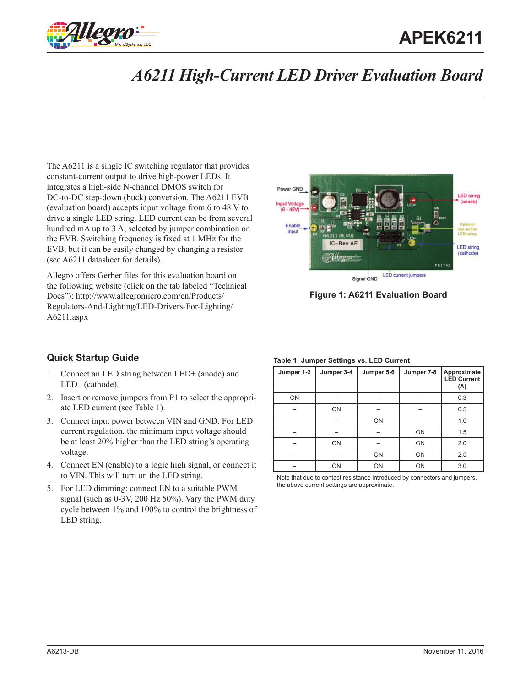

# **APEK6211**

## *A6211 High-Current LED Driver Evaluation Board*

The A6211 is a single IC switching regulator that provides constant-current output to drive high-power LEDs. It integrates a high-side N-channel DMOS switch for DC-to-DC step-down (buck) conversion. The A6211 EVB (evaluation board) accepts input voltage from 6 to 48 V to drive a single LED string. LED current can be from several hundred mA up to 3 A, selected by jumper combination on the EVB. Switching frequency is fixed at 1 MHz for the EVB, but it can be easily changed by changing a resistor (see A6211 datasheet for details).

Allegro offers Gerber files for this evaluation board on the following website (click on the tab labeled "Technical Docs"): [http://www.allegromicro.com/en/Products/](http://www.allegromicro.com/en/Products/Regulators-And-Lighting/LED-Drivers-For-Lighting/A6211.aspx) [Regulators-And-Lighting/LED-Drivers-For-Lighting/](http://www.allegromicro.com/en/Products/Regulators-And-Lighting/LED-Drivers-For-Lighting/A6211.aspx) [A6211.aspx](http://www.allegromicro.com/en/Products/Regulators-And-Lighting/LED-Drivers-For-Lighting/A6211.aspx)



**Figure 1: A6211 Evaluation Board**

### **Quick Startup Guide**

- 1. Connect an LED string between LED+ (anode) and LED– (cathode).
- 2. Insert or remove jumpers from P1 to select the appropriate LED current (see [Table 1\)](#page-0-0).
- 3. Connect input power between VIN and GND. For LED current regulation, the minimum input voltage should be at least 20% higher than the LED string's operating voltage.
- 4. Connect EN (enable) to a logic high signal, or connect it to VIN. This will turn on the LED string.
- 5. For LED dimming: connect EN to a suitable PWM signal (such as 0-3V, 200 Hz 50%). Vary the PWM duty cycle between 1% and 100% to control the brightness of LED string.

#### <span id="page-0-0"></span>**Table 1: Jumper Settings vs. LED Current**

| Jumper 1-2 | Jumper 3-4 | Jumper 5-6 | Jumper 7-8 | Approximate<br><b>LED Current</b><br>(A) |
|------------|------------|------------|------------|------------------------------------------|
| ON         |            |            |            | 0.3                                      |
|            | ON         |            |            | 0.5                                      |
|            |            | ON         |            | 1.0                                      |
|            |            |            | ON         | 1.5                                      |
|            | ON         |            | ON         |                                          |
|            |            | ON         | ON         | 2.5                                      |
|            | ON         | ON         | ON         | 3.0                                      |

Note that due to contact resistance introduced by connectors and jumpers, the above current settings are approximate.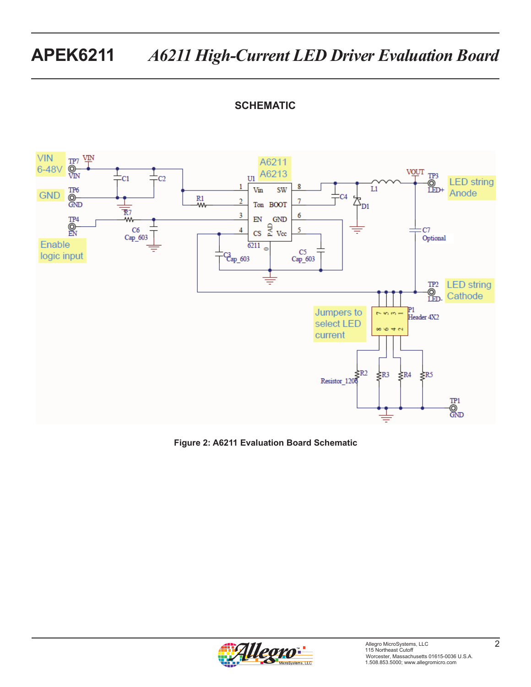### **SCHEMATIC**



**Figure 2: A6211 Evaluation Board Schematic**

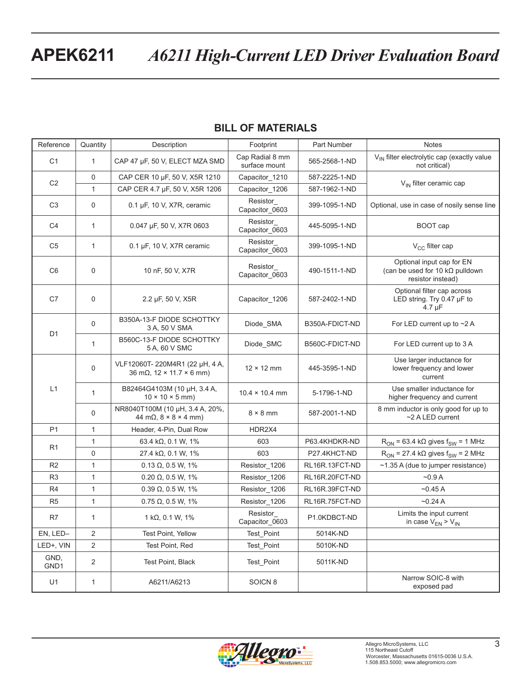# **APEK6211** *A6211 High-Current LED Driver Evaluation Board*

| Reference                | Quantity       | Description                                                                                | Footprint<br>Part Number<br><b>Notes</b> |                |                                                                                           |  |
|--------------------------|----------------|--------------------------------------------------------------------------------------------|------------------------------------------|----------------|-------------------------------------------------------------------------------------------|--|
| C <sub>1</sub>           | $\mathbf{1}$   | CAP 47 µF, 50 V, ELECT MZA SMD                                                             | Cap Radial 8 mm<br>surface mount         | 565-2568-1-ND  | V <sub>IN</sub> filter electrolytic cap (exactly value<br>not critical)                   |  |
| C <sub>2</sub>           | $\mathbf 0$    | CAP CER 10 µF, 50 V, X5R 1210                                                              | Capacitor_1210                           | 587-2225-1-ND  | V <sub>IN</sub> filter ceramic cap                                                        |  |
|                          | $\mathbf{1}$   | CAP CER 4.7 µF, 50 V, X5R 1206                                                             | Capacitor_1206                           | 587-1962-1-ND  |                                                                                           |  |
| C <sub>3</sub>           | $\Omega$       | 0.1 µF, 10 V, X7R, ceramic                                                                 | Resistor<br>Capacitor_0603               | 399-1095-1-ND  | Optional, use in case of nosily sense line                                                |  |
| C <sub>4</sub>           | $\mathbf{1}$   | 0.047 µF, 50 V, X7R 0603                                                                   | Resistor<br>Capacitor_0603               | 445-5095-1-ND  | BOOT cap                                                                                  |  |
| C <sub>5</sub>           | $\mathbf{1}$   | $0.1 \mu F$ , 10 V, X7R ceramic                                                            | Resistor<br>Capacitor_0603               | 399-1095-1-ND  | V <sub>CC</sub> filter cap                                                                |  |
| C <sub>6</sub>           | 0              | 10 nF, 50 V, X7R                                                                           | Resistor<br>Capacitor_0603               | 490-1511-1-ND  | Optional input cap for EN<br>(can be used for 10 k $\Omega$ pulldown<br>resistor instead) |  |
| C7                       | 0              | 2.2 µF, 50 V, X5R                                                                          | Capacitor 1206                           | 587-2402-1-ND  | Optional filter cap across<br>LED string. Try 0.47 µF to<br>$4.7 \mu F$                   |  |
| D <sub>1</sub>           | 0              | B350A-13-F DIODE SCHOTTKY<br>3 A, 50 V SMA                                                 | Diode_SMA                                | B350A-FDICT-ND | For LED current up to $\sim$ 2 A                                                          |  |
|                          | $\mathbf{1}$   | B560C-13-F DIODE SCHOTTKY<br>5 A, 60 V SMC                                                 | Diode_SMC                                | B560C-FDICT-ND | For LED current up to 3 A                                                                 |  |
| L1                       | $\Omega$       | VLF12060T-220M4R1 (22 µH, 4 A,<br>$36 \text{ mA}$ , $12 \times 11.7 \times 6 \text{ mm}$ ) | $12 \times 12$ mm                        | 445-3595-1-ND  | Use larger inductance for<br>lower frequency and lower<br>current                         |  |
|                          | $\mathbf{1}$   | B82464G4103M (10 µH, 3.4 A,<br>$10 \times 10 \times 5$ mm)                                 | $10.4 \times 10.4$ mm                    | 5-1796-1-ND    | Use smaller inductance for<br>higher frequency and current                                |  |
|                          | 0              | NR8040T100M (10 µH, 3.4 A, 20%,<br>44 m $\Omega$ , 8 × 8 × 4 mm)                           | $8 \times 8$ mm                          | 587-2001-1-ND  | 8 mm inductor is only good for up to<br>~2 A LED current                                  |  |
| P <sub>1</sub>           | $\mathbf{1}$   | Header, 4-Pin, Dual Row<br>HDR2X4                                                          |                                          |                |                                                                                           |  |
| R <sub>1</sub>           | $\mathbf{1}$   | 63.4 kΩ, 0.1 W, 1%                                                                         | 603                                      | P63.4KHDKR-ND  | $R_{ON}$ = 63.4 kQ gives $f_{SW}$ = 1 MHz                                                 |  |
|                          | $\mathbf 0$    | 27.4 kΩ, 0.1 W, 1%                                                                         | 603                                      | P27.4KHCT-ND   | $R_{ON}$ = 27.4 kQ gives $f_{SW}$ = 2 MHz                                                 |  |
| R <sub>2</sub>           | $\mathbf{1}$   | $0.13 \Omega$ , 0.5 W, 1%                                                                  | Resistor 1206                            | RL16R.13FCT-ND | $\sim$ 1.35 A (due to jumper resistance)                                                  |  |
| R <sub>3</sub>           | $\mathbf{1}$   | $0.20 \Omega$ , 0.5 W, 1%                                                                  | Resistor_1206                            | RL16R.20FCT-ND | $-0.9A$                                                                                   |  |
| R <sub>4</sub>           | $\mathbf{1}$   | $0.39 \Omega$ , $0.5 W$ , $1\%$                                                            | Resistor_1206                            | RL16R.39FCT-ND | $-0.45A$                                                                                  |  |
| R <sub>5</sub>           | $\mathbf{1}$   | $0.75 \Omega$ , 0.5 W, 1%                                                                  | Resistor_1206                            | RL16R.75FCT-ND | $-0.24A$                                                                                  |  |
| R7                       | $\mathbf{1}$   | 1 k $\Omega$ , 0.1 W, 1%                                                                   | Resistor<br>Capacitor_0603               | P1.0KDBCT-ND   | Limits the input current<br>in case $V_{EN}$ > $V_{IN}$                                   |  |
| EN, LED-                 | 2              | Test Point, Yellow                                                                         | Test_Point                               | 5014K-ND       |                                                                                           |  |
| LED+, VIN                | $\overline{2}$ | Test Point, Red                                                                            | Test Point                               | 5010K-ND       |                                                                                           |  |
| GND,<br>GND <sub>1</sub> | $\overline{2}$ | Test Point, Black                                                                          | Test_Point                               | 5011K-ND       |                                                                                           |  |
| U1                       | $\mathbf{1}$   | A6211/A6213                                                                                | SOICN <sub>8</sub>                       |                | Narrow SOIC-8 with<br>exposed pad                                                         |  |

### **BILL OF MATERIALS**